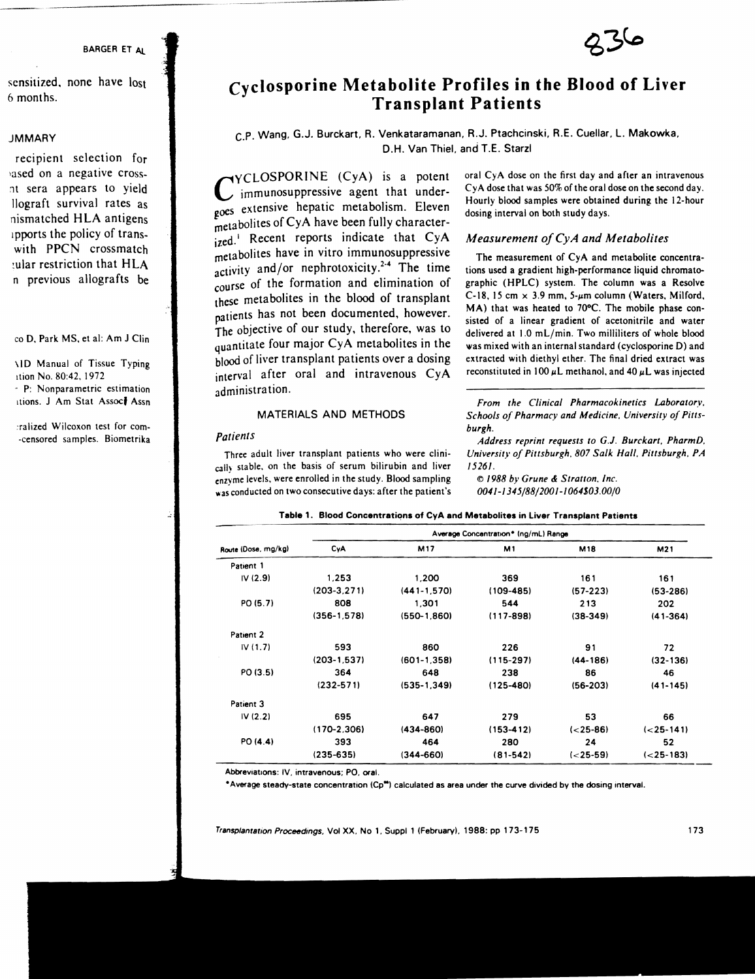#### 8ARGER ET AI.

sensitized. none have lost 6 months.

#### **JMMARY**

recipient selection for lased on a negative cross-1t sera appears to yield llograft survival rates as nismatched HLA antigens lpports the policy of transwith PPCN crossmatch !ular restriction that HLA n previous allografts be

#### co D. Park MS, et al: Am J Clin

\10 Manual of Tissue Typing Ition No. 80:42. 1972 . P: Nonparametric estimation itions. J Am Stat Associ Assn

:ralized Wilcoxon test for com- ·censored samples. Biometrika



# **cyclosporine Metabolite Profiles in the Blood of Liver Transplant Patients**

# C.P. Wang. G.J. Burckart, R. Venkataramanan, R.J. Ptachcinski, R.E. Cuellar, L. Makowka, D.H. Van Thiel. and T.E. Starzl

CYCLOSPORINE (CyA) is a potent immunosuppressive agent that undergoes extensive hepatic metabolism. Eleven metabolites of CyA have been fully characterized.<sup>1</sup> Recent reports indicate that CyA metabolites have in vitro immunosuppressive activity and/or nephrotoxicity.<sup>2-4</sup> The time course of the formation and elimination of these metabolites in the blood of transplant patients has not been documented, however. The objective of our study, therefore, was to quantitate four major CyA metabolites in the blood of liver transplant patients over a dosing interval after oral and intravenous CyA administration.

#### MATERIALS AND METHODS

#### *Patients*

Three adult liver transplant patients who were clinically stable, on the basis of serum bilirubin and liver enzyme levels, were enrolled in the study. Blood sampling was conducted on two consecutive days: after the patient's oral CyA dose on the first day and after an intravenous CyA dose that was 50% of the oral dose on the second day. Hourly blood samples were obtained during the 12-hour dosing interval on both study days.

#### *Measurement ojCyA and Metabolites*

The measurement of CyA and metabolite concentrations used a gradient high-performance liquid chromatographic (HPLC) system. The column was a Resolve C-18. 15 cm  $\times$  3.9 mm, 5- $\mu$ m column (Waters. Milford. MA) that was heated to 70°C. The mobile phase consisted of a linear gradient of acetonitrile and water delivered at 1.0 mL/min. Two milliliters of whole blood was mixed with an internal standard (cyclosporine D) and extracted with diethyl ether. The final dried extract was reconstituted in 100  $\mu$ L methanol, and 40  $\mu$ L was injected

*From the Clinical Pharmacokinetics Laboratory. Schools of Pharmacy and Medicine. University of Pittsburgh.* 

*Address reprint requests to G.J. Burckart. PharmD. Universit}· of Pittsburgh. 807 Salk Hall. Pittsburgh. PA /5261 .* 

© /988 *b}' Grune* & *Strallon. Inc . 0041-*/ *345/88/200/* -/ *064\$03.00/0* 

|  |  |  |  |  |  | Table 1. Blood Concentrations of CyA and Metabolites in Liver Transplant Patients |
|--|--|--|--|--|--|-----------------------------------------------------------------------------------|
|--|--|--|--|--|--|-----------------------------------------------------------------------------------|

|                     | Average Concentration* (ng/mL) Range |                  |               |               |                |  |  |
|---------------------|--------------------------------------|------------------|---------------|---------------|----------------|--|--|
| Route (Dose, mg/kg) | CyA                                  | M17              | M1            | <b>M18</b>    | M21            |  |  |
| Patient 1           |                                      |                  |               |               |                |  |  |
| IV(2.9)             | 1.253                                | 1,200            | 369           | 161           | 161            |  |  |
|                     | $(203 - 3.271)$                      | $(441 - 1, 570)$ | $(109 - 485)$ | $(57 - 223)$  | $(53 - 286)$   |  |  |
| PO (5.7)            | 808                                  | 1.301            | 544           | 213           | 202            |  |  |
|                     | $(356 - 1.578)$                      | $(550-1,860)$    | $(117 - 898)$ | $(38-349)$    | $(41 - 364)$   |  |  |
| Patient 2           |                                      |                  |               |               |                |  |  |
| IV(1.7)             | 593                                  | 860              | 226           | 91            | 72             |  |  |
|                     | $(203 - 1, 537)$                     | $(601 - 1.358)$  | $(115 - 297)$ | $(44-186)$    | $(32-136)$     |  |  |
| PO (3.5)            | 364                                  | 648              | 238           | 86            | 46             |  |  |
|                     | $(232 - 571)$                        | $(535-1.349)$    | $(125 - 480)$ | $(56-203)$    | $(41 - 145)$   |  |  |
| Patient 3           |                                      |                  |               |               |                |  |  |
| IV(2.2)             | 695                                  | 647              | 279           | 53            | 66             |  |  |
|                     | $(170-2.306)$                        | $(434 - 860)$    | $(153 - 412)$ | $(< 25 - 86)$ | $(< 25 - 141)$ |  |  |
| PO(4.4)             | 393                                  | 464              | 280           | 24            | 52             |  |  |
|                     | $(235 - 635)$                        | $(344 - 660)$    | $(81 - 542)$  | $(< 25-59)$   | $(< 25 - 183)$ |  |  |

AbbreVIations: IV. intravenous: PO. oral.

 $^{\circ}$  Average steady-state concentration (Cp<sup>as</sup>) calculated as area under the curve divided by the dosing interval.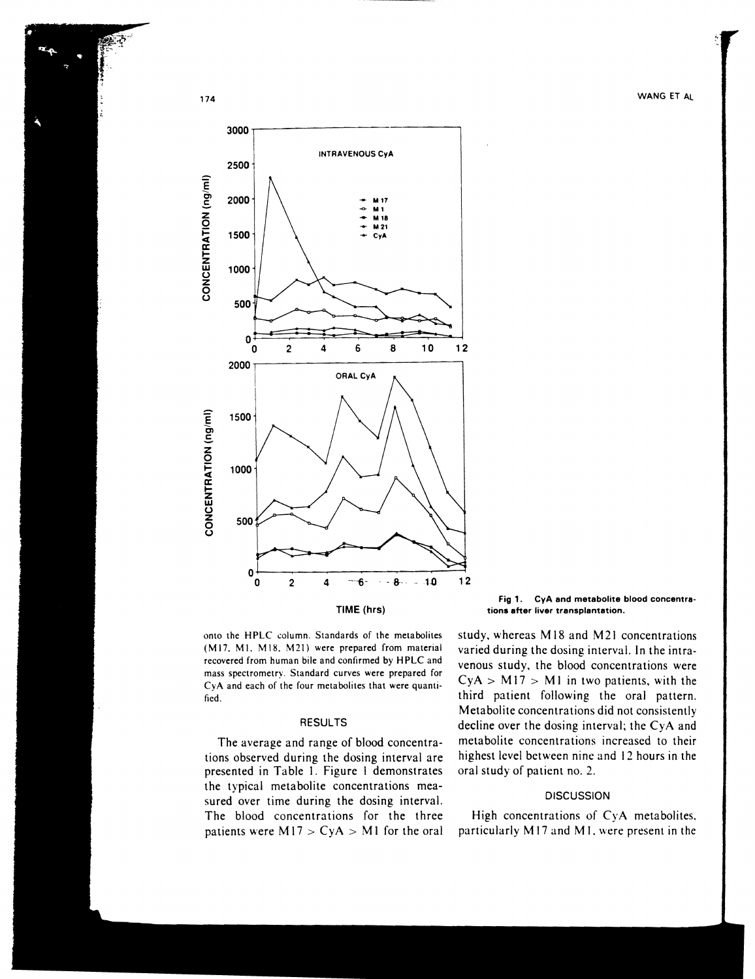# 174 WANG ET AL



Fig 1. CyA and metabolite blood concentrations after liver transplantation.

onto the HPLC column. Standards of the metabolites (M17, M1, M18, M21) were prepared from material recovered from human bile and confirmed by HPLC and mass spectrometry. Standard curves were prepared for CyA and each of the four metabolites that were quantified.

### **RESULTS**

The average and range of blood concentrations observed during the dosing interval are presented in Table I. Figure I demonstrates the typical metabolite concentrations measured over time during the dosing interval. The blood concentrations for the three patients were  $M17 > CyA > M1$  for the oral study, whereas M18 and M21 concentrations varied during the dosing interval. In the intravenous study, the blood concentrations were  $CyA > M17 > M1$  in two patients, with the third patient following the oral pattern. Metabolite concentrations did not consistently decline over the dosing interval; the CyA and metabolite concentrations increased to their highest level between nine and 12 hours in the oral study of patient no. 2.

# **DISCUSSION**

High concentrations of CyA metabolites, particularly M17 and M1, were present in the